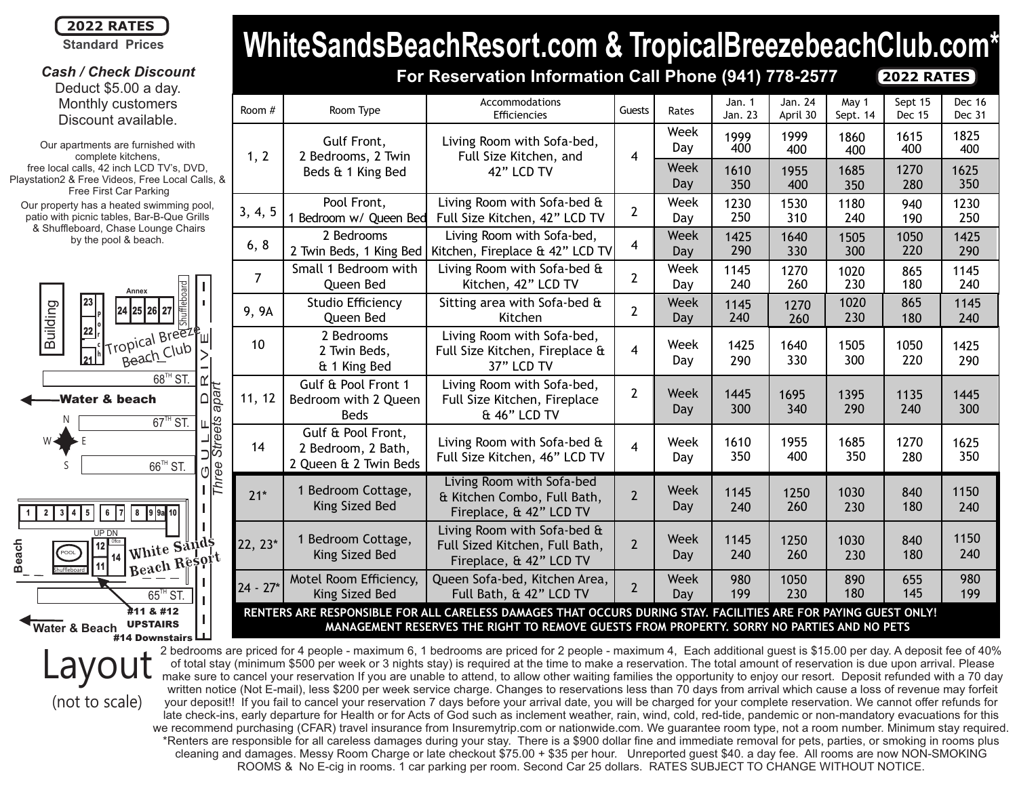

**Standard Prices**

*Cash / Check Discount* Deduct \$5.00 a day. Monthly customers Discount available.

Our property has a heated swimming pool, patio with picnic tables, Bar-B-Que Grills & Shuffleboard, Chase Lounge Chairs by the pool & beach. Our apartments are furnished with complete kitchens, free local calls, 42 inch LCD TV's, DVD, Playstation2 & Free Videos, Free Local Calls, & Free First Car Parking



(not to scale)

# **WhiteSandsBeachResort.com & TropicalBreezebeachClub.com\* For Reservation Information Call Phone (941) 778-2577**

**2022 RATES**

| Room #                                                                                                          | Room Type                                                         | Accommodations<br>Efficiencies                                                           | Guests         | Rates       | Jan. 1<br>Jan. 23 | Jan. 24<br>April 30 | May 1<br>Sept. 14 | Sept 15<br><b>Dec 15</b> | Dec 16<br>Dec 31 |
|-----------------------------------------------------------------------------------------------------------------|-------------------------------------------------------------------|------------------------------------------------------------------------------------------|----------------|-------------|-------------------|---------------------|-------------------|--------------------------|------------------|
| 1, 2                                                                                                            | Gulf Front,<br>2 Bedrooms, 2 Twin<br>Beds & 1 King Bed            | Living Room with Sofa-bed,<br>Full Size Kitchen, and<br>42" LCD TV                       | 4              | Week<br>Day | 1999<br>400       | 1999<br>400         | 1860<br>400       | 1615<br>400              | 1825<br>400      |
|                                                                                                                 |                                                                   |                                                                                          |                | Week<br>Day | 1610<br>350       | 1955<br>400         | 1685<br>350       | 1270<br>280              | 1625<br>350      |
| 3, 4, 5                                                                                                         | Pool Front,<br>1 Bedroom w/ Queen Bed                             | Living Room with Sofa-bed &<br>Full Size Kitchen, 42" LCD TV                             | $\overline{2}$ | Week<br>Day | 1230<br>250       | 1530<br>310         | 1180<br>240       | 940<br>190               | 1230<br>250      |
| 6, 8                                                                                                            | 2 Bedrooms<br>2 Twin Beds, 1 King Bed                             | Living Room with Sofa-bed,<br>Kitchen, Fireplace & 42" LCD TV                            | 4              | Week<br>Day | 1425<br>290       | 1640<br>330         | 1505<br>300       | 1050<br>220              | 1425<br>290      |
| $\overline{7}$                                                                                                  | Small 1 Bedroom with<br>Queen Bed                                 | Living Room with Sofa-bed &<br>Kitchen, 42" LCD TV                                       | $\overline{2}$ | Week<br>Day | 1145<br>240       | 1270<br>260         | 1020<br>230       | 865<br>180               | 1145<br>240      |
| 9, 9A                                                                                                           | Studio Efficiency<br>Queen Bed                                    | Sitting area with Sofa-bed &<br>Kitchen                                                  | $\overline{2}$ | Week<br>Day | 1145<br>240       | 1270<br>260         | 1020<br>230       | 865<br>180               | 1145<br>240      |
| 10                                                                                                              | 2 Bedrooms<br>2 Twin Beds,<br>& 1 King Bed                        | Living Room with Sofa-bed,<br>Full Size Kitchen, Fireplace &<br>37" LCD TV               | 4              | Week<br>Day | 1425<br>290       | 1640<br>330         | 1505<br>300       | 1050<br>220              | 1425<br>290      |
| 11, 12                                                                                                          | Gulf & Pool Front 1<br>Bedroom with 2 Queen<br><b>Beds</b>        | Living Room with Sofa-bed,<br>Full Size Kitchen, Fireplace<br>& 46" LCD TV               | $\overline{2}$ | Week<br>Day | 1445<br>300       | 1695<br>340         | 1395<br>290       | 1135<br>240              | 1445<br>300      |
| 14                                                                                                              | Gulf & Pool Front,<br>2 Bedroom, 2 Bath,<br>2 Queen & 2 Twin Beds | Living Room with Sofa-bed &<br>Full Size Kitchen, 46" LCD TV                             | 4              | Week<br>Day | 1610<br>350       | 1955<br>400         | 1685<br>350       | 1270<br>280              | 1625<br>350      |
| $21*$                                                                                                           | 1 Bedroom Cottage,<br>King Sized Bed                              | Living Room with Sofa-bed<br>& Kitchen Combo, Full Bath,<br>Fireplace, & 42" LCD TV      | $\overline{2}$ | Week<br>Day | 1145<br>240       | 1250<br>260         | 1030<br>230       | 840<br>180               | 1150<br>240      |
| 22, 23*                                                                                                         | 1 Bedroom Cottage,<br>King Sized Bed                              | Living Room with Sofa-bed &<br>Full Sized Kitchen, Full Bath,<br>Fireplace, & 42" LCD TV | $\overline{2}$ | Week<br>Day | 1145<br>240       | 1250<br>260         | 1030<br>230       | 840<br>180               | 1150<br>240      |
| $24 - 27*$                                                                                                      | Motel Room Efficiency,<br>King Sized Bed                          | Queen Sofa-bed, Kitchen Area,<br>Full Bath, & 42" LCD TV                                 | $\overline{2}$ | Week<br>Day | 980<br>199        | 1050<br>230         | 890<br>180        | 655<br>145               | 980<br>199       |
| RENTERS ARE RESPONSIBLE FOR ALL CARELESS DAMAGES THAT OCCURS DURING STAY. FACILITIES ARE FOR PAYING GUEST ONLY! |                                                                   |                                                                                          |                |             |                   |                     |                   |                          |                  |

**MANAGEMENT RESERVES THE RIGHT TO REMOVE GUESTS FROM PROPERTY. SORRY NO PARTIES AND NO PETS**

2 bedrooms are priced for 4 people - maximum 6, 1 bedrooms are priced for 2 people - maximum 4, Each additional guest is \$15.00 per day. A deposit fee of 40% of total stay (minimum \$500 per week or 3 nights stay) is required at the time to make a reservation. The total amount of reservation is due upon arrival. Please make sure to cancel your reservation If you are unable to attend, to allow other waiting families the opportunity to enjoy our resort. Deposit refunded with a 70 day written notice (Not E-mail), less \$200 per week service charge. Changes to reservations less than 70 days from arrival which cause a loss of revenue may forfeit your deposit!! If you fail to cancel your reservation 7 days before your arrival date, you will be charged for your complete reservation. We cannot offer refunds for late check-ins, early departure for Health or for Acts of God such as inclement weather, rain, wind, cold, red-tide, pandemic or non-mandatory evacuations for this we recommend purchasing (CFAR) travel insurance from Insuremytrip.com or nationwide.com. We guarantee room type, not a room number. Minimum stay required. \*Renters are responsible for all careless damages during your stay. There is a \$900 dollar fine and immediate removal for pets, parties, or smoking in rooms plus cleaning and damages. Messy Room Charge or late checkout \$75.00 + \$35 per hour. Unreported guest \$40. a day fee. All rooms are now NON-SMOKING ROOMS & No E-cig in rooms. 1 car parking per room. Second Car 25 dollars. RATES SUBJECT TO CHANGE WITHOUT NOTICE. Layout #14 Downstairs